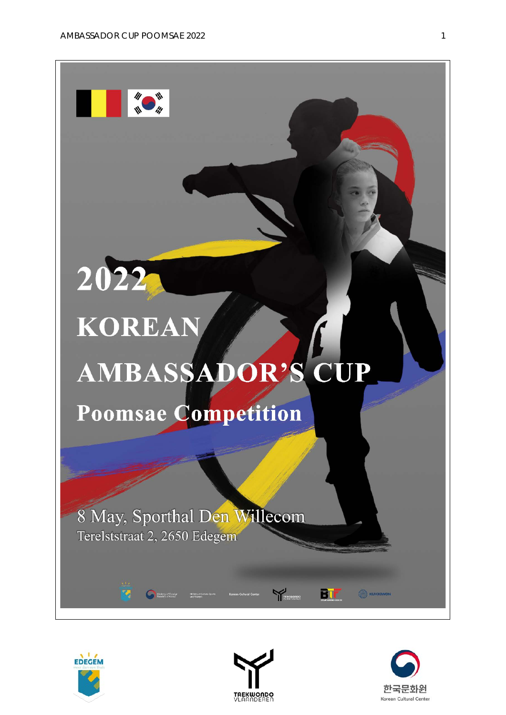

2022

# **KOREAN** AMBASSADOR'S CUP

Poomsae Competition

8 May, Sporthal Den Willecom Terelststraat 2, 2650 Edegem



ख

Ministry of Foreign



**TREKWOODS** 

**BIF** 

**C** KUKKIWON

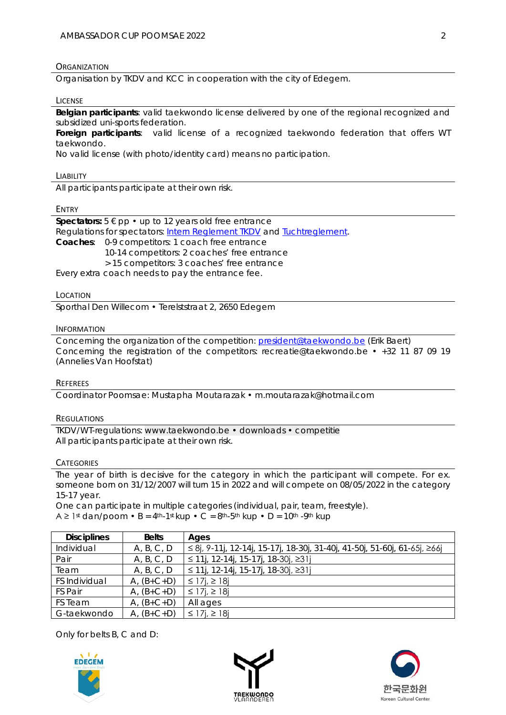## **ORGANIZATION**

Organisation by TKDV and KCC in cooperation with the city of Edegem.

#### LICENSE

**Belgian participants**: valid taekwondo license delivered by one of the regional recognized and subsidized uni-sports federation.

**Foreign participants**: valid license of a recognized taekwondo federation that offers WT taekwondo.

No valid license (with photo/identity card) means no participation.

#### LIABILITY

All participants participate at their own risk.

#### ENTRY

**Spectators:**  $5 \notin \text{pp} \cdot \text{up to 12}$  years old free entrance Regulations for spectators: [Intern Reglement TKDV](https://www.taekwondo.be/media/123/download) and [Tuchtreglement.](https://www.taekwondo.be/media/254/download) **Coaches**: 0-9 competitors: 1 coach free entrance 10-14 competitors: 2 coaches' free entrance > 15 competitors: 3 coaches' free entrance Every extra coach needs to pay the entrance fee.

#### LOCATION

Sporthal Den Willecom • Terelststraat 2, 2650 Edegem

#### INFORMATION

Concerning the organization of the competition: [president@taekwondo.be](mailto:president@taekwondo.be) (Erik Baert) Concerning the registration of the competitors: [recreatie@taekwondo.be](mailto:recreatie@taekwondo.be) • +32 11 87 09 19 (Annelies Van Hoofstat)

#### **REFEREES**

Coordinator Poomsae: Mustapha Moutarazak • [m.moutarazak@hotmail.com](mailto:m.moutarazak@hotmail.com)

## **REGULATIONS**

TKDV/WT-regulations: [www.taekwondo.be • downloads • competitie](https://www.taekwondo.be/sites/default/files/2021-06/2021.01.25_Wedstrijdreglement%20Poomsae%202021.pdf) All participants participate at their own risk.

## **CATEGORIES**

The year of birth is decisive for the category in which the participant will compete. For ex. someone born on 31/12/2007 will turn 15 in 2022 and will compete on 08/05/2022 in the category 15-17 year.

One can participate in multiple categories (individual, pair, team, freestyle).  $A \ge 1$ st dan/poom • B = 4<sup>th</sup>-1st kup • C = 8<sup>th</sup>-5<sup>th</sup> kup • D = 10<sup>th</sup> -9<sup>th</sup> kup

| <b>Disciplines</b> | <b>Belts</b> | Ages                                                                      |
|--------------------|--------------|---------------------------------------------------------------------------|
| Individual         | A, B, C, D   | ≤ 8j, 9-11j, 12-14j, 15-17j, 18-30j, 31-40j, 41-50j, 51-60j, 61-65j, ≥66j |
| Pair               | A, B, C, D   | ≤ 11j, 12-14j, 15-17j, 18-30j, ≥31j                                       |
| Team               | A, B, C, D   | ≤ 11j, 12-14j, 15-17j, 18-30j, ≥31j                                       |
| FS Individual      | $A, (B+C+D)$ | ≤ 17 <i>i</i> , ≥ 18 <i>i</i>                                             |
| FS Pair            | $A, (B+C+D)$ | ≤ 17 <i>i</i> , ≥ 18 <i>j</i>                                             |
| FS Team            | $A, (B+C+D)$ | All ages                                                                  |
| G-taekwondo        | $A, (B+C+D)$ | ≤ 17 <i>i</i> , ≥ 18 <i>j</i>                                             |

Only for belts B, C and D:





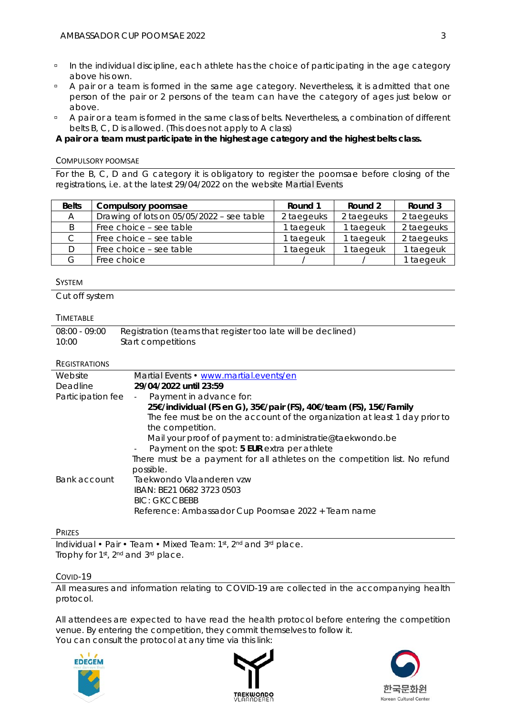- In the individual discipline, each athlete has the choice of participating in the age category above his own.
- <sup>o</sup> A pair or a team is formed in the same age category. Nevertheless, it is admitted that one person of the pair or 2 persons of the team can have the category of ages just below or above.
- A pair or a team is formed in the same class of belts. Nevertheless, a combination of different belts B, C, D is allowed. (This does not apply to A class)

**A pair or a team must participate in the highest age category and the highest belts class.**

## COMPULSORY POOMSAE

For the B, C, D and G category it is obligatory to register the poomsae before closing of the registrations, i.e. at the latest 29/04/2022 on the website [Martial Events](https://www.martial.events/en)

| <b>Belts</b> | Compulsory poomsae                        | Round 1    | Round 2    | Round 3    |
|--------------|-------------------------------------------|------------|------------|------------|
| A            | Drawing of lots on 05/05/2022 - see table | 2 taegeuks | 2 taegeuks | 2 taegeuks |
| B            | Free choice - see table                   | 1 taegeuk  | 1 taegeuk  | 2 taegeuks |
|              | Free choice - see table                   | 1 taegeuk  | 1 taegeuk  | 2 taegeuks |
|              | Free choice – see table                   | I taegeuk  | 1 taegeuk  | 1 taegeuk  |
| G            | Free choice                               |            |            | I taegeuk  |

# **SYSTEM**

Cut off system

# TIMETABLE

| 08:00 - 09:00 | Registration (teams that register too late will be declined) |
|---------------|--------------------------------------------------------------|
| 10:00         | Start competitions                                           |

# **REGISTRATIONS**

| Website           | Martial Events • www.martial.events/en                                      |  |  |  |  |  |
|-------------------|-----------------------------------------------------------------------------|--|--|--|--|--|
| Deadline          | 29/04/2022 until 23:59                                                      |  |  |  |  |  |
| Participation fee | Payment in advance for:                                                     |  |  |  |  |  |
|                   | 25€/individual (FS en G), 35€/pair (FS), 40€/team (FS), 15€/Family          |  |  |  |  |  |
|                   | The fee must be on the account of the organization at least 1 day prior to  |  |  |  |  |  |
|                   | the competition.                                                            |  |  |  |  |  |
|                   | Mail your proof of payment to: administratie@taekwondo.be                   |  |  |  |  |  |
|                   | Payment on the spot: 5 EUR extra per athlete                                |  |  |  |  |  |
|                   | There must be a payment for all athletes on the competition list. No refund |  |  |  |  |  |
|                   | possible.                                                                   |  |  |  |  |  |
| Bank account      | Taekwondo Vlaanderen vzw                                                    |  |  |  |  |  |
|                   | IBAN: BE21 0682 3723 0503                                                   |  |  |  |  |  |
|                   | <b>BIC: GKCCBEBB</b>                                                        |  |  |  |  |  |
|                   | Reference: Ambassador Cup Poomsae 2022 + Team name                          |  |  |  |  |  |
|                   |                                                                             |  |  |  |  |  |

## PRIZES

Individual • Pair • Team • Mixed Team: 1st, 2nd and 3rd place. Trophy for 1st, 2nd and 3rd place.

# COVID-19

All measures and information relating to COVID-19 are collected in the accompanying health protocol.

All attendees are expected to have read the health protocol before entering the competition venue. By entering the competition, they commit themselves to follow it. You can consult the protocol at any time via this link:





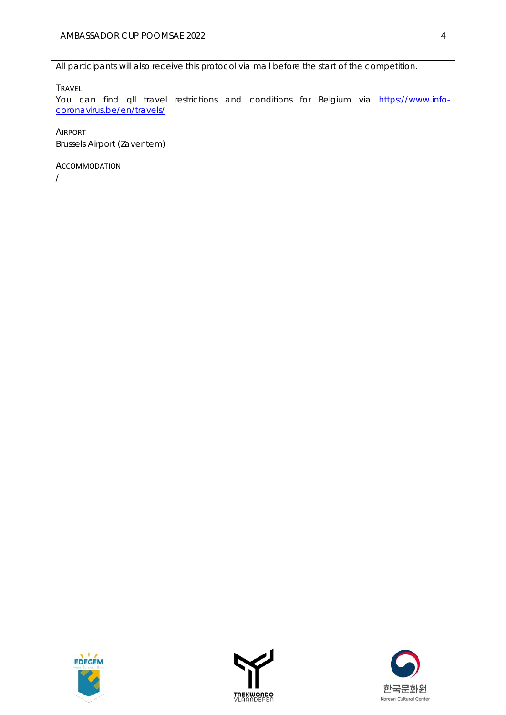All participants will also receive this protocol via mail before the start of the competition.

## TRAVEL

You can find qll travel restrictions and conditions for Belgium via [https://www.info](https://www.info-coronavirus.be/en/travels/)[coronavirus.be/en/travels/](https://www.info-coronavirus.be/en/travels/)

AIRPORT

Brussels Airport (Zaventem)

## ACCOMMODATION

/





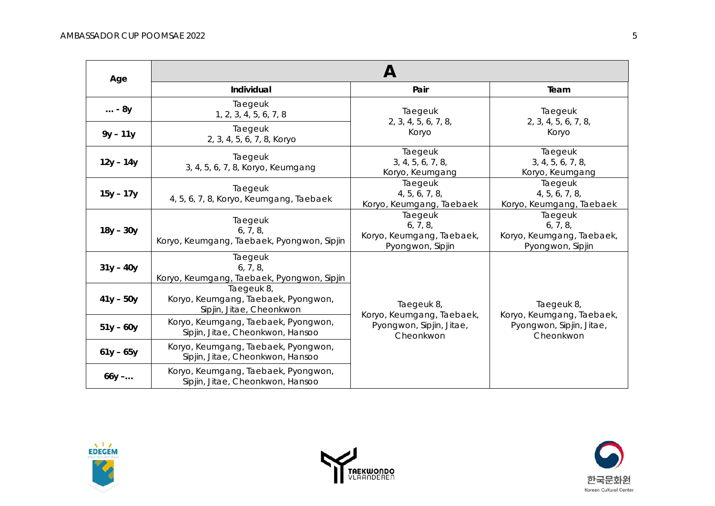| Age           | $\boldsymbol{\mathsf{A}}$                                                     |                                                                      |                                                                      |  |  |  |
|---------------|-------------------------------------------------------------------------------|----------------------------------------------------------------------|----------------------------------------------------------------------|--|--|--|
|               | Individual                                                                    | Pair                                                                 | Team                                                                 |  |  |  |
| $\ldots$ - 8y | Taegeuk<br>1, 2, 3, 4, 5, 6, 7, 8                                             | Taegeuk<br>2, 3, 4, 5, 6, 7, 8,                                      | Taegeuk<br>2, 3, 4, 5, 6, 7, 8,<br>Koryo                             |  |  |  |
| $9y - 11y$    | Taegeuk<br>2, 3, 4, 5, 6, 7, 8, Koryo                                         | Koryo                                                                |                                                                      |  |  |  |
| $12y - 14y$   | Taegeuk<br>3, 4, 5, 6, 7, 8, Koryo, Keumgang                                  | Taegeuk<br>3, 4, 5, 6, 7, 8,<br>Koryo, Keumgang                      | Taegeuk<br>3, 4, 5, 6, 7, 8,<br>Koryo, Keumgang                      |  |  |  |
| $15y - 17y$   | Taegeuk<br>4, 5, 6, 7, 8, Koryo, Keumgang, Taebaek                            | Taegeuk<br>4, 5, 6, 7, 8,<br>Koryo, Keumgang, Taebaek                | Taegeuk<br>4, 5, 6, 7, 8,<br>Koryo, Keumgang, Taebaek                |  |  |  |
| $18y - 30y$   | Taegeuk<br>6, 7, 8,<br>Koryo, Keumgang, Taebaek, Pyongwon, Sipjin             | Taegeuk<br>6, 7, 8,<br>Koryo, Keumgang, Taebaek,<br>Pyongwon, Sipjin | Taegeuk<br>6, 7, 8,<br>Koryo, Keumgang, Taebaek,<br>Pyongwon, Sipjin |  |  |  |
| $31y - 40y$   | Taegeuk<br>6, 7, 8,<br>Koryo, Keumgang, Taebaek, Pyongwon, Sipjin             |                                                                      |                                                                      |  |  |  |
| $41y - 50y$   | Taegeuk 8,<br>Koryo, Keumgang, Taebaek, Pyongwon,<br>Sipjin, Jitae, Cheonkwon | Taegeuk 8,<br>Koryo, Keumgang, Taebaek,                              | Taegeuk 8,<br>Koryo, Keumgang, Taebaek,                              |  |  |  |
| $51y - 60y$   | Koryo, Keumgang, Taebaek, Pyongwon,<br>Sipjin, Jitae, Cheonkwon, Hansoo       | Pyongwon, Sipjin, Jitae,<br>Cheonkwon                                | Pyongwon, Sipjin, Jitae,<br>Cheonkwon                                |  |  |  |
| $61y - 65y$   | Koryo, Keumgang, Taebaek, Pyongwon,<br>Sipjin, Jitae, Cheonkwon, Hansoo       |                                                                      |                                                                      |  |  |  |
| $66y - $      | Koryo, Keumgang, Taebaek, Pyongwon,<br>Sipjin, Jitae, Cheonkwon, Hansoo       |                                                                      |                                                                      |  |  |  |